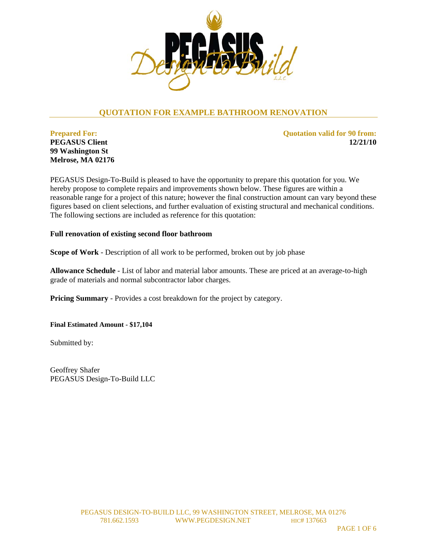

# **QUOTATION FOR EXAMPLE BATHROOM RENOVATION**

**Prepared For: PEGASUS Client 99 Washington St Melrose, MA 02176**  **Quotation valid for 90 from: 12/21/10** 

PEGASUS Design-To-Build is pleased to have the opportunity to prepare this quotation for you. We hereby propose to complete repairs and improvements shown below. These figures are within a reasonable range for a project of this nature; however the final construction amount can vary beyond these figures based on client selections, and further evaluation of existing structural and mechanical conditions. The following sections are included as reference for this quotation:

#### **Full renovation of existing second floor bathroom**

**Scope of Work** - Description of all work to be performed, broken out by job phase

**Allowance Schedule** - List of labor and material labor amounts. These are priced at an average-to-high grade of materials and normal subcontractor labor charges.

**Pricing Summary** - Provides a cost breakdown for the project by category.

**Final Estimated Amount - \$17,104** 

Submitted by:

Geoffrey Shafer PEGASUS Design-To-Build LLC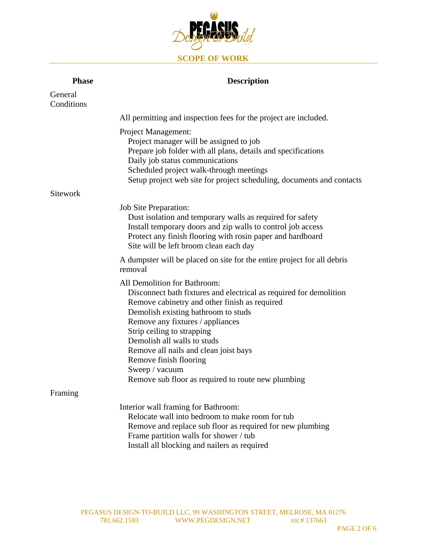

| <b>Phase</b>          | <b>Description</b>                                                                                                                                                                                                                                                                                                                                                                                                                     |
|-----------------------|----------------------------------------------------------------------------------------------------------------------------------------------------------------------------------------------------------------------------------------------------------------------------------------------------------------------------------------------------------------------------------------------------------------------------------------|
| General<br>Conditions |                                                                                                                                                                                                                                                                                                                                                                                                                                        |
|                       | All permitting and inspection fees for the project are included.                                                                                                                                                                                                                                                                                                                                                                       |
|                       | <b>Project Management:</b><br>Project manager will be assigned to job<br>Prepare job folder with all plans, details and specifications<br>Daily job status communications<br>Scheduled project walk-through meetings<br>Setup project web site for project scheduling, documents and contacts                                                                                                                                          |
| Sitework              |                                                                                                                                                                                                                                                                                                                                                                                                                                        |
|                       | <b>Job Site Preparation:</b><br>Dust isolation and temporary walls as required for safety<br>Install temporary doors and zip walls to control job access<br>Protect any finish flooring with rosin paper and hardboard<br>Site will be left broom clean each day                                                                                                                                                                       |
|                       | A dumpster will be placed on site for the entire project for all debris<br>removal                                                                                                                                                                                                                                                                                                                                                     |
|                       | All Demolition for Bathroom:<br>Disconnect bath fixtures and electrical as required for demolition<br>Remove cabinetry and other finish as required<br>Demolish existing bathroom to studs<br>Remove any fixtures / appliances<br>Strip ceiling to strapping<br>Demolish all walls to studs<br>Remove all nails and clean joist bays<br>Remove finish flooring<br>Sweep / vacuum<br>Remove sub floor as required to route new plumbing |
| Framing               |                                                                                                                                                                                                                                                                                                                                                                                                                                        |
|                       | Interior wall framing for Bathroom:<br>Relocate wall into bedroom to make room for tub<br>Remove and replace sub floor as required for new plumbing<br>Frame partition walls for shower / tub<br>Install all blocking and nailers as required                                                                                                                                                                                          |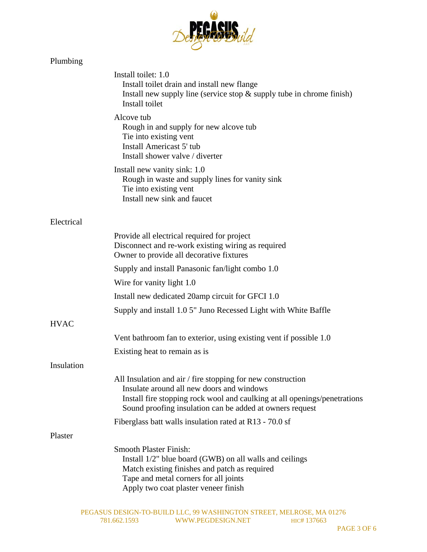

## Plumbing

|            | Install toilet: 1.0<br>Install toilet drain and install new flange<br>Install new supply line (service stop $\&$ supply tube in chrome finish)<br>Install toilet                                                                                  |
|------------|---------------------------------------------------------------------------------------------------------------------------------------------------------------------------------------------------------------------------------------------------|
|            | Alcove tub<br>Rough in and supply for new alcove tub<br>Tie into existing vent<br>Install Americast 5' tub<br>Install shower valve / diverter                                                                                                     |
|            | Install new vanity sink: 1.0<br>Rough in waste and supply lines for vanity sink<br>Tie into existing vent<br>Install new sink and faucet                                                                                                          |
| Electrical |                                                                                                                                                                                                                                                   |
|            | Provide all electrical required for project<br>Disconnect and re-work existing wiring as required<br>Owner to provide all decorative fixtures                                                                                                     |
|            | Supply and install Panasonic fan/light combo 1.0                                                                                                                                                                                                  |
|            | Wire for vanity light 1.0                                                                                                                                                                                                                         |
|            | Install new dedicated 20amp circuit for GFCI 1.0                                                                                                                                                                                                  |
|            | Supply and install 1.0 5" Juno Recessed Light with White Baffle                                                                                                                                                                                   |
| HVAC       |                                                                                                                                                                                                                                                   |
|            | Vent bathroom fan to exterior, using existing vent if possible 1.0                                                                                                                                                                                |
|            | Existing heat to remain as is                                                                                                                                                                                                                     |
| Insulation |                                                                                                                                                                                                                                                   |
|            | All Insulation and air / fire stopping for new construction<br>Insulate around all new doors and windows<br>Install fire stopping rock wool and caulking at all openings/penetrations<br>Sound proofing insulation can be added at owners request |
|            | Fiberglass batt walls insulation rated at R13 - 70.0 sf                                                                                                                                                                                           |
| Plaster    |                                                                                                                                                                                                                                                   |
|            | <b>Smooth Plaster Finish:</b><br>Install 1/2" blue board (GWB) on all walls and ceilings<br>Match existing finishes and patch as required<br>Tape and metal corners for all joints<br>Apply two coat plaster veneer finish                        |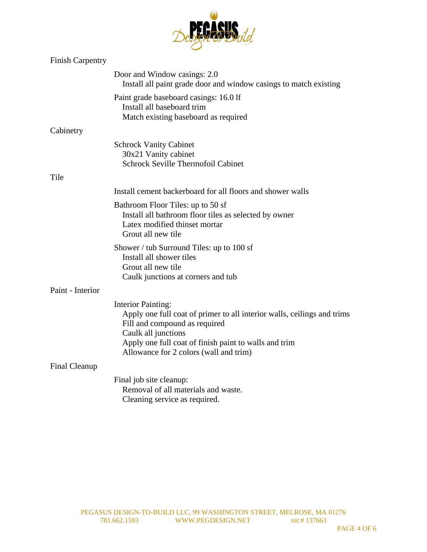| <b>Finish Carpentry</b> |                                                                                                                                                                                                                                                                 |
|-------------------------|-----------------------------------------------------------------------------------------------------------------------------------------------------------------------------------------------------------------------------------------------------------------|
|                         | Door and Window casings: 2.0<br>Install all paint grade door and window casings to match existing                                                                                                                                                               |
|                         | Paint grade baseboard casings: 16.0 lf<br>Install all baseboard trim<br>Match existing baseboard as required                                                                                                                                                    |
| Cabinetry               |                                                                                                                                                                                                                                                                 |
|                         | <b>Schrock Vanity Cabinet</b><br>30x21 Vanity cabinet<br><b>Schrock Seville Thermofoil Cabinet</b>                                                                                                                                                              |
| Tile                    |                                                                                                                                                                                                                                                                 |
|                         | Install cement backerboard for all floors and shower walls                                                                                                                                                                                                      |
|                         | Bathroom Floor Tiles: up to 50 sf<br>Install all bathroom floor tiles as selected by owner<br>Latex modified thinset mortar<br>Grout all new tile                                                                                                               |
|                         | Shower / tub Surround Tiles: up to $100$ sf<br>Install all shower tiles<br>Grout all new tile<br>Caulk junctions at corners and tub                                                                                                                             |
| Paint - Interior        |                                                                                                                                                                                                                                                                 |
|                         | <b>Interior Painting:</b><br>Apply one full coat of primer to all interior walls, ceilings and trims<br>Fill and compound as required<br>Caulk all junctions<br>Apply one full coat of finish paint to walls and trim<br>Allowance for 2 colors (wall and trim) |
| Final Cleanup           |                                                                                                                                                                                                                                                                 |
|                         | Final job site cleanup:<br>Removal of all materials and waste.<br>Cleaning service as required.                                                                                                                                                                 |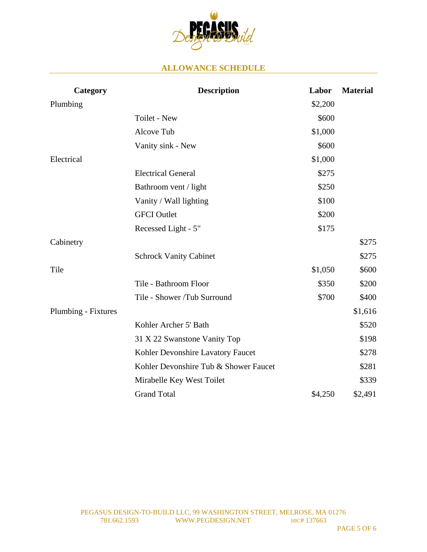

### **ALLOWANCE SCHEDULE**

| Category            | <b>Description</b>                    | Labor   | <b>Material</b> |
|---------------------|---------------------------------------|---------|-----------------|
| Plumbing            |                                       | \$2,200 |                 |
|                     | Toilet - New                          | \$600   |                 |
|                     | Alcove Tub                            | \$1,000 |                 |
|                     | Vanity sink - New                     | \$600   |                 |
| Electrical          |                                       | \$1,000 |                 |
|                     | <b>Electrical General</b>             | \$275   |                 |
|                     | Bathroom vent / light                 | \$250   |                 |
|                     | Vanity / Wall lighting                | \$100   |                 |
|                     | <b>GFCI</b> Outlet                    | \$200   |                 |
|                     | Recessed Light - 5"                   | \$175   |                 |
| Cabinetry           |                                       |         | \$275           |
|                     | <b>Schrock Vanity Cabinet</b>         |         | \$275           |
| Tile                |                                       | \$1,050 | \$600           |
|                     | Tile - Bathroom Floor                 | \$350   | \$200           |
|                     | Tile - Shower /Tub Surround           | \$700   | \$400           |
| Plumbing - Fixtures |                                       |         | \$1,616         |
|                     | Kohler Archer 5' Bath                 |         | \$520           |
|                     | 31 X 22 Swanstone Vanity Top          |         | \$198           |
|                     | Kohler Devonshire Lavatory Faucet     |         | \$278           |
|                     | Kohler Devonshire Tub & Shower Faucet |         | \$281           |
|                     | Mirabelle Key West Toilet             |         | \$339           |
|                     | <b>Grand Total</b>                    | \$4,250 | \$2,491         |